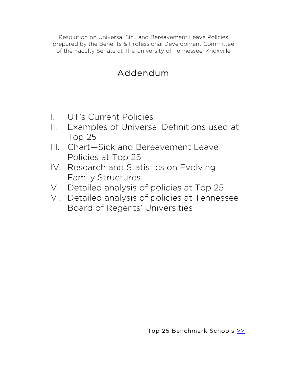Resolution on Universal Sick and Bereavement Leave Policies prepared by the Benefits & Professional Development Committee of the Faculty Senate at The University of Tennessee, Knoxville

# Addendum

- I. UT's Current Policies
- II. Examples of Universal Definitions used at Top 25
- III. Chart—Sick and Bereavement Leave Policies at Top 25
- IV. Research and Statistics on Evolving Family Structures
- V. Detailed analysis of policies at Top 25
- VI. Detailed analysis of policies at Tennessee Board of Regents' Universities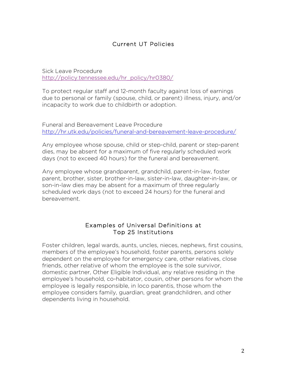## Current UT Policies

Sick Leave Procedure http://policy.tennessee.edu/hr\_policy/hr0380/

To protect regular staff and 12-month faculty against loss of earnings due to personal or family (spouse, child, or parent) illness, injury, and/or incapacity to work due to childbirth or adoption.

Funeral and Bereavement Leave Procedure http://hr.utk.edu/policies/funeral-and-bereavement-leave-procedure/

Any employee whose spouse, child or step-child, parent or step-parent dies, may be absent for a maximum of five regularly scheduled work days (not to exceed 40 hours) for the funeral and bereavement.

Any employee whose grandparent, grandchild, parent-in-law, foster parent, brother, sister, brother-in-law, sister-in-law, daughter-in-law, or son-in-law dies may be absent for a maximum of three regularly scheduled work days (not to exceed 24 hours) for the funeral and bereavement.

#### Examples of Universal Definitions at Top 25 Institutions

Foster children, legal wards, aunts, uncles, nieces, nephews, first cousins, members of the employee's household, foster parents, persons solely dependent on the employee for emergency care, other relatives, close friends, other relative of whom the employee is the sole survivor, domestic partner, Other Eligible Individual, any relative residing in the employee's household, co-habitator, cousin, other persons for whom the employee is legally responsible, in loco parentis, those whom the employee considers family, guardian, great grandchildren, and other dependents living in household.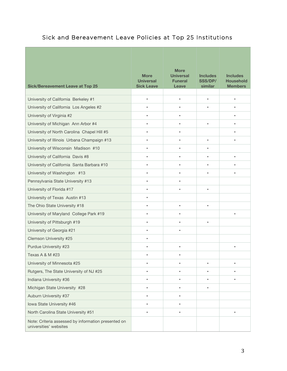## Sick and Bereavement Leave Policies at Top 25 Institutions

| <b>Sick/Bereavement Leave at Top 25</b>                                       | <b>More</b><br><b>Universal</b><br><b>Sick Leave</b> | <b>More</b><br><b>Universal</b><br><b>Funeral</b><br>Leave | <b>Includes</b><br><b>SSS/DP/</b><br>similar | <b>Includes</b><br><b>Household</b><br><b>Members</b> |
|-------------------------------------------------------------------------------|------------------------------------------------------|------------------------------------------------------------|----------------------------------------------|-------------------------------------------------------|
| University of California Berkeley #1                                          | $\bullet$                                            | $\bullet$                                                  | $\bullet$                                    | $\bullet$                                             |
| University of California Los Angeles #2                                       | $\bullet$                                            | $\bullet$                                                  | $\bullet$                                    | ٠                                                     |
| University of Virginia #2                                                     | $\bullet$                                            | $\bullet$                                                  |                                              | $\bullet$                                             |
|                                                                               |                                                      | ٠                                                          | $\bullet$                                    | $\bullet$                                             |
| University of Michigan Ann Arbor #4                                           | $\bullet$                                            |                                                            |                                              |                                                       |
| University of North Carolina Chapel Hill #5                                   | $\bullet$                                            | $\bullet$                                                  |                                              | $\bullet$                                             |
| University of Illinois Urbana Champaign #13                                   | $\bullet$                                            | $\bullet$                                                  | $\bullet$                                    | $\bullet$                                             |
| University of Wisconsin Madison #10                                           | $\bullet$                                            | $\bullet$                                                  | $\bullet$                                    |                                                       |
| University of California Davis #8                                             | $\bullet$                                            | $\bullet$                                                  | $\bullet$                                    | $\bullet$                                             |
| University of California Santa Barbara #10                                    | $\bullet$                                            | ٠                                                          | $\bullet$                                    | $\bullet$                                             |
| University of Washington #13                                                  | $\bullet$                                            | $\bullet$                                                  | $\bullet$                                    | $\bullet$                                             |
| Pennsylvania State University #13                                             | $\bullet$                                            | ٠                                                          |                                              |                                                       |
| University of Florida #17                                                     | $\bullet$                                            | $\bullet$                                                  | $\bullet$                                    |                                                       |
| University of Texas Austin #13                                                | $\bullet$                                            |                                                            |                                              |                                                       |
| The Ohio State University #18                                                 | $\bullet$                                            | $\bullet$                                                  | $\bullet$                                    |                                                       |
| University of Maryland College Park #19                                       | $\bullet$                                            | $\bullet$                                                  |                                              | $\bullet$                                             |
| University of Pittsburgh #19                                                  | $\bullet$                                            | ٠                                                          | $\bullet$                                    |                                                       |
| University of Georgia #21                                                     | $\bullet$                                            | $\bullet$                                                  |                                              |                                                       |
| Clemson University #25                                                        | $\bullet$                                            |                                                            |                                              |                                                       |
| Purdue University #23                                                         | $\bullet$                                            | $\bullet$                                                  |                                              | $\bullet$                                             |
| Texas A & M #23                                                               | $\bullet$                                            | $\bullet$                                                  |                                              |                                                       |
| University of Minnesota #25                                                   | $\bullet$                                            | $\bullet$                                                  | $\bullet$                                    | $\bullet$                                             |
| Rutgers, The State University of NJ #25                                       | $\bullet$                                            | ٠                                                          | ٠                                            | ٠                                                     |
| Indiana University #36                                                        | $\bullet$                                            |                                                            |                                              |                                                       |
| Michigan State University #28                                                 | $\bullet$                                            | ٠                                                          | $\bullet$                                    |                                                       |
| Auburn University #37                                                         | $\bullet$                                            | ٠                                                          |                                              |                                                       |
| Iowa State University #46                                                     | $\bullet$                                            | ٠                                                          |                                              |                                                       |
| North Carolina State University #51                                           | $\bullet$                                            | ٠                                                          |                                              | $\bullet$                                             |
| Note: Criteria assessed by information presented on<br>universities' websites |                                                      |                                                            |                                              |                                                       |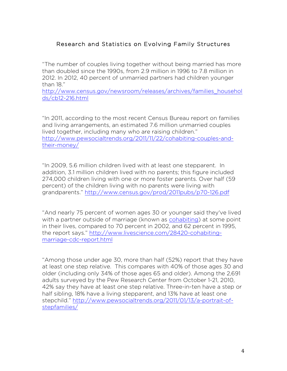## Research and Statistics on Evolving Family Structures

"The number of couples living together without being married has more than doubled since the 1990s, from 2.9 million in 1996 to 7.8 million in 2012. In 2012, 40 percent of unmarried partners had children younger than 18."

http://www.census.gov/newsroom/releases/archives/families\_househol ds/cb12-216.html

"In 2011, according to the most recent Census Bureau report on families and living arrangements, an estimated 7.6 million unmarried couples lived together, including many who are raising children." http://www.pewsocialtrends.org/2011/11/22/cohabiting-couples-andtheir-money/

"In 2009, 5.6 million children lived with at least one stepparent. In addition, 3.1 million children lived with no parents; this figure included 274,000 children living with one or more foster parents. Over half (59 percent) of the children living with no parents were living with grandparents." http://www.census.gov/prod/2011pubs/p70-126.pdf

"And nearly 75 percent of women ages 30 or younger said they've lived with a partner outside of marriage (known as cohabiting) at some point in their lives, compared to 70 percent in 2002, and 62 percent in 1995, the report says." http://www.livescience.com/28420-cohabitingmarriage-cdc-report.html

"Among those under age 30, more than half (52%) report that they have at least one step relative. This compares with 40% of those ages 30 and older (including only 34% of those ages 65 and older). Among the 2,691 adults surveyed by the Pew Research Center from October 1-21, 2010, 42% say they have at least one step relative. Three-in-ten have a step or half sibling, 18% have a living stepparent, and 13% have at least one stepchild." http://www.pewsocialtrends.org/2011/01/13/a-portrait-ofstepfamilies/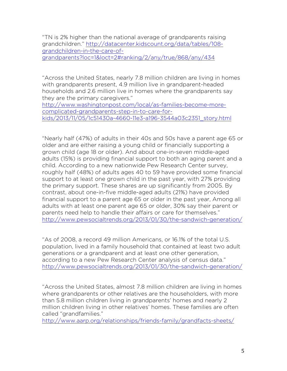"TN is 2% higher than the national average of grandparents raising grandchildren." http://datacenter.kidscount.org/data/tables/108 grandchildren-in-the-care-ofgrandparents?loc=1&loct=2#ranking/2/any/true/868/any/434

"Across the United States, nearly 7.8 million children are living in homes with grandparents present, 4.9 million live in grandparent-headed households and 2.6 million live in homes where the grandparents say they are the primary caregivers."

http://www.washingtonpost.com/local/as-families-become-morecomplicated-grandparents-step-in-to-care-forkids/2013/11/05/1c51430a-4660-11e3-a196-3544a03c2351\_story.html

"Nearly half (47%) of adults in their 40s and 50s have a parent age 65 or older and are either raising a young child or financially supporting a grown child (age 18 or older). And about one-in-seven middle-aged adults (15%) is providing financial support to both an aging parent and a child. According to a new nationwide Pew Research Center survey, roughly half (48%) of adults ages 40 to 59 have provided some financial support to at least one grown child in the past year, with 27% providing the primary support. These shares are up significantly from 2005. By contrast, about one-in-five middle-aged adults (21%) have provided financial support to a parent age 65 or older in the past year, Among all adults with at least one parent age 65 or older, 30% say their parent or parents need help to handle their affairs or care for themselves." http://www.pewsocialtrends.org/2013/01/30/the-sandwich-generation/

"As of 2008, a record 49 million Americans, or 16.1% of the total U.S. population, lived in a family household that contained at least two adult generations or a grandparent and at least one other generation, according to a new Pew Research Center analysis of census data." http://www.pewsocialtrends.org/2013/01/30/the-sandwich-generation/

"Across the United States, almost 7.8 million children are living in homes where grandparents or other relatives are the householders, with more than 5.8 million children living in grandparents' homes and nearly 2 million children living in other relatives' homes. These families are often called "grandfamilies."

http://www.aarp.org/relationships/friends-family/grandfacts-sheets/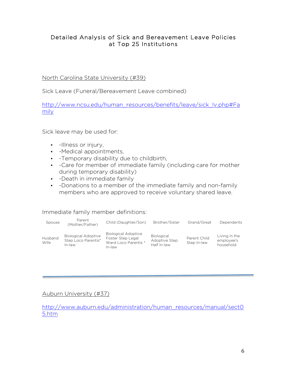## Detailed Analysis of Sick and Bereavement Leave Policies at Top 25 Institutions

#### North Carolina State University (#39)

Sick Leave (Funeral/Bereavement Leave combined)

http://www.ncsu.edu/human\_resources/benefits/leave/sick\_lv.php#Fa mily

Sick leave may be used for:

- -Illness or injury,
- -Medical appointments,
- -Temporary disability due to childbirth,
- -Care for member of immediate family (including care for mother during temporary disability)
- -Death in immediate family
- -Donations to a member of the immediate family and non-family members who are approved to receive voluntary shared leave.

#### Immediate family member definitions:

| Spouse                 | Parent<br>(Mother/Father)                                   | Child (Daughter/Son)                                                              | Brother/Sister                                    | Grand/Great                 | Dependents                               |
|------------------------|-------------------------------------------------------------|-----------------------------------------------------------------------------------|---------------------------------------------------|-----------------------------|------------------------------------------|
| <b>Husband</b><br>Wife | <b>Biological Adoptive</b><br>Step Loco Parentis*<br>In-law | <b>Biological Adoptive</b><br>Foster Step Legal<br>Ward Loco Parentis *<br>In-law | <b>Biological</b><br>Adoptive Step<br>Half In-law | Parent Child<br>Step In-law | Living in the<br>employee's<br>household |

## Auburn University (#37)

http://www.auburn.edu/administration/human\_resources/manual/sect0 5.htm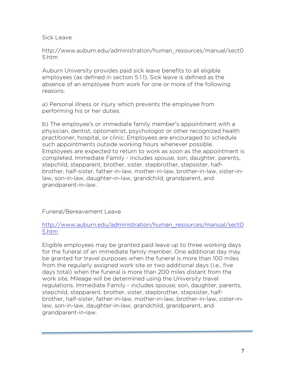Sick Leave

http://www.auburn.edu/administration/human\_resources/manual/sect0 5.htm

Auburn University provides paid sick leave benefits to all eligible employees (as defined in section 5.1.1). Sick leave is defined as the absence of an employee from work for one or more of the following reasons:

a) Personal illness or injury which prevents the employee from performing his or her duties.

b) The employee's or immediate family member's appointment with a physician, dentist, optometrist, psychologist or other recognized health practitioner, hospital, or clinic. Employees are encouraged to schedule such appointments outside working hours whenever possible. Employees are expected to return to work as soon as the appointment is completed. Immediate Family - includes spouse, son, daughter, parents, stepchild, stepparent, brother, sister, stepbrother, stepsister, halfbrother, half-sister, father-in-law, mother-in-law, brother-in-law, sister-inlaw, son-in-law, daughter-in-law, grandchild, grandparent, and grandparent-in-law.

Funeral/Bereavement Leave

## http://www.auburn.edu/administration/human\_resources/manual/sect0 5.htm

Eligible employees may be granted paid leave up to three working days for the funeral of an immediate family member. One additional day may be granted for travel purposes when the funeral is more than 100 miles from the regularly assigned work site or two additional days (i.e., five days total) when the funeral is more than 200 miles distant from the work site. Mileage will be determined using the University travel regulations. Immediate Family - includes spouse, son, daughter, parents, stepchild, stepparent, brother, sister, stepbrother, stepsister, halfbrother, half-sister, father-in-law, mother-in-law, brother-in-law, sister-inlaw, son-in-law, daughter-in-law, grandchild, grandparent, and grandparent-in-law.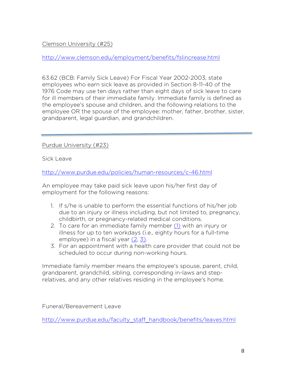## Clemson University (#25)

http://www.clemson.edu/employment/benefits/fslincrease.html

63.62 (BCB: Family Sick Leave) For Fiscal Year 2002-2003, state employees who earn sick leave as provided in Section 8-11-40 of the 1976 Code may use ten days rather than eight days of sick leave to care for ill members of their immediate family. Immediate family is defined as the employee's spouse and children, and the following relations to the employee OR the spouse of the employee: mother, father, brother, sister, grandparent, legal guardian, and grandchildren.

Purdue University (#23)

Sick Leave

http://www.purdue.edu/policies/human-resources/c-46.html

An employee may take paid sick leave upon his/her first day of employment for the following reasons:

- 1. If s/he is unable to perform the essential functions of his/her job due to an injury or illness including, but not limited to, pregnancy, childbirth, or pregnancy-related medical conditions.
- 2. To care for an immediate family member (1) with an injury or illness for up to ten workdays (i.e., eighty hours for a full-time employee) in a fiscal year (2, 3).
- 3. For an appointment with a health care provider that could not be scheduled to occur during non-working hours.

Immediate family member means the employee's spouse, parent, child, grandparent, grandchild, sibling, corresponding in-laws and steprelatives, and any other relatives residing in the employee's home.

Funeral/Bereavement Leave

http://www.purdue.edu/faculty\_staff\_handbook/benefits/leaves.html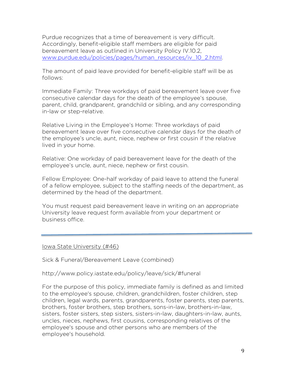Purdue recognizes that a time of bereavement is very difficult. Accordingly, benefit-eligible staff members are eligible for paid bereavement leave as outlined in University Policy IV.10.2, www.purdue.edu/policies/pages/human\_resources/iv\_10\_2.html.

The amount of paid leave provided for benefit-eligible staff will be as follows:

Immediate Family: Three workdays of paid bereavement leave over five consecutive calendar days for the death of the employee's spouse, parent, child, grandparent, grandchild or sibling, and any corresponding in-law or step-relative.

Relative Living in the Employee's Home: Three workdays of paid bereavement leave over five consecutive calendar days for the death of the employee's uncle, aunt, niece, nephew or first cousin if the relative lived in your home.

Relative: One workday of paid bereavement leave for the death of the employee's uncle, aunt, niece, nephew or first cousin.

Fellow Employee: One-half workday of paid leave to attend the funeral of a fellow employee, subject to the staffing needs of the department, as determined by the head of the department.

You must request paid bereavement leave in writing on an appropriate University leave request form available from your department or business office.

Iowa State University (#46)

Sick & Funeral/Bereavement Leave (combined)

http://www.policy.iastate.edu/policy/leave/sick/#funeral

For the purpose of this policy, immediate family is defined as and limited to the employee's spouse, children, grandchildren, foster children, step children, legal wards, parents, grandparents, foster parents, step parents, brothers, foster brothers, step brothers, sons-in-law, brothers-in-law, sisters, foster sisters, step sisters, sisters-in-law, daughters-in-law, aunts, uncles, nieces, nephews, first cousins, corresponding relatives of the employee's spouse and other persons who are members of the employee's household.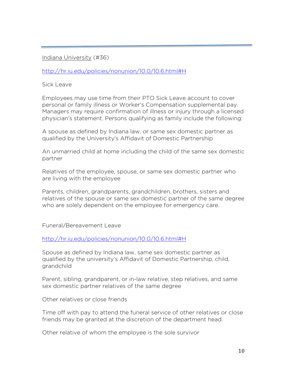#### Indiana University (#36)

http://hr.iu.edu/policies/nonunion/10.0/10.6.html#H

Sick Leave

Employees may use time from their PTO Sick Leave account to cover personal or family illness or Worker's Compensation supplemental pay. Managers may require confirmation of illness or injury through a licensed physician's statement. Persons qualifying as family include the following:

A spouse as defined by Indiana law, or same sex domestic partner as qualified by the University's Affidavit of Domestic Partnership

An unmarried child at home including the child of the same sex domestic partner

Relatives of the employee, spouse, or same sex domestic partner who are living with the employee

Parents, children, grandparents, grandchildren, brothers, sisters and relatives of the spouse or same sex domestic partner of the same degree who are solely dependent on the employee for emergency care.

Funeral/Bereavement Leave

http://hr.iu.edu/policies/nonunion/10.0/10.6.html#H

Spouse as defined by Indiana law, same sex domestic partner as qualified by the university's Affidavit of Domestic Partnership, child, grandchild

Parent, sibling, grandparent, or in-law relative, step relatives, and same sex domestic partner relatives of the same degree

Other relatives or close friends

Time off with pay to attend the funeral service of other relatives or close friends may be granted at the discretion of the department head.

Other relative of whom the employee is the sole survivor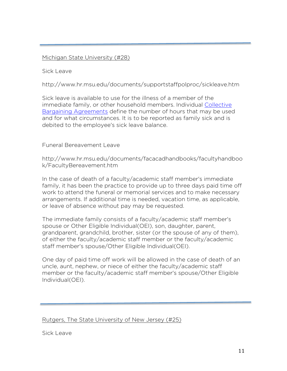#### Michigan State University (#28)

Sick Leave

http://www.hr.msu.edu/documents/supportstaffpolproc/sickleave.htm

Sick leave is available to use for the illness of a member of the immediate family, or other household members. Individual Collective Bargaining Agreements define the number of hours that may be used and for what circumstances. It is to be reported as family sick and is debited to the employee's sick leave balance.

#### Funeral Bereavement Leave

http://www.hr.msu.edu/documents/facacadhandbooks/facultyhandboo k/FacultyBereavement.htm

In the case of death of a faculty/academic staff member's immediate family, it has been the practice to provide up to three days paid time off work to attend the funeral or memorial services and to make necessary arrangements. If additional time is needed, vacation time, as applicable, or leave of absence without pay may be requested.

The immediate family consists of a faculty/academic staff member's spouse or Other Eligible Individual(OEI), son, daughter, parent, grandparent, grandchild, brother, sister (or the spouse of any of them), of either the faculty/academic staff member or the faculty/academic staff member's spouse/Other Eligible Individual(OEI).

One day of paid time off work will be allowed in the case of death of an uncle, aunt, nephew, or niece of either the faculty/academic staff member or the faculty/academic staff member's spouse/Other Eligible Individual(OEI).

Rutgers, The State University of New Jersey (#25)

Sick Leave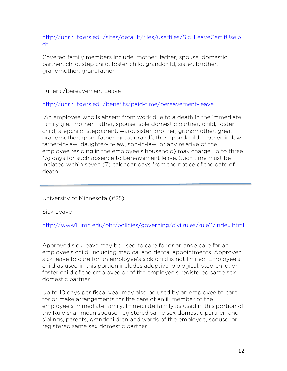http://uhr.rutgers.edu/sites/default/files/userfiles/SickLeaveCertifUse.p df

Covered family members include: mother, father, spouse, domestic partner, child, step child, foster child, grandchild, sister, brother, grandmother, grandfather

Funeral/Bereavement Leave

http://uhr.rutgers.edu/benefits/paid-time/bereavement-leave

An employee who is absent from work due to a death in the immediate family (i.e., mother, father, spouse, sole domestic partner, child, foster child, stepchild, stepparent, ward, sister, brother, grandmother, great grandmother, grandfather, great grandfather, grandchild, mother-in-law, father-in-law, daughter-in-law, son-in-law, or any relative of the employee residing in the employee's household) may charge up to three (3) days for such absence to bereavement leave. Such time must be initiated within seven (7) calendar days from the notice of the date of death.

University of Minnesota (#25)

Sick Leave

http://www1.umn.edu/ohr/policies/governing/civilrules/rule11/index.html

Approved sick leave may be used to care for or arrange care for an employee's child, including medical and dental appointments. Approved sick leave to care for an employee's sick child is not limited. Employee's child as used in this portion includes adoptive, biological, step-child, or foster child of the employee or of the employee's registered same sex domestic partner.

Up to 10 days per fiscal year may also be used by an employee to care for or make arrangements for the care of an ill member of the employee's immediate family. Immediate family as used in this portion of the Rule shall mean spouse, registered same sex domestic partner; and siblings, parents, grandchildren and wards of the employee, spouse, or registered same sex domestic partner.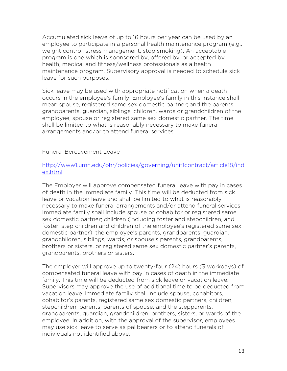Accumulated sick leave of up to 16 hours per year can be used by an employee to participate in a personal health maintenance program (e.g., weight control, stress management, stop smoking). An acceptable program is one which is sponsored by, offered by, or accepted by health, medical and fitness/wellness professionals as a health maintenance program. Supervisory approval is needed to schedule sick leave for such purposes.

Sick leave may be used with appropriate notification when a death occurs in the employee's family. Employee's family in this instance shall mean spouse, registered same sex domestic partner; and the parents, grandparents, guardian, siblings, children, wards or grandchildren of the employee, spouse or registered same sex domestic partner. The time shall be limited to what is reasonably necessary to make funeral arrangements and/or to attend funeral services.

#### Funeral Bereavement Leave

#### http://www1.umn.edu/ohr/policies/governing/unit1contract/article18/ind ex.html

The Employer will approve compensated funeral leave with pay in cases of death in the immediate family. This time will be deducted from sick leave or vacation leave and shall be limited to what is reasonably necessary to make funeral arrangements and/or attend funeral services. Immediate family shall include spouse or cohabitor or registered same sex domestic partner; children (including foster and stepchildren, and foster, step children and children of the employee's registered same sex domestic partner); the employee's parents, grandparents, guardian, grandchildren, siblings, wards, or spouse's parents, grandparents, brothers or sisters, or registered same sex domestic partner's parents, grandparents, brothers or sisters.

The employer will approve up to twenty-four (24) hours (3 workdays) of compensated funeral leave with pay in cases of death in the immediate family. This time will be deducted from sick leave or vacation leave. Supervisors may approve the use of additional time to be deducted from vacation leave. Immediate family shall include spouse, cohabitors, cohabitor's parents, registered same sex domestic partners, children, stepchildren, parents, parents of spouse, and the stepparents, grandparents, guardian, grandchildren, brothers, sisters, or wards of the employee. In addition, with the approval of the supervisor, employees may use sick leave to serve as pallbearers or to attend funerals of individuals not identified above.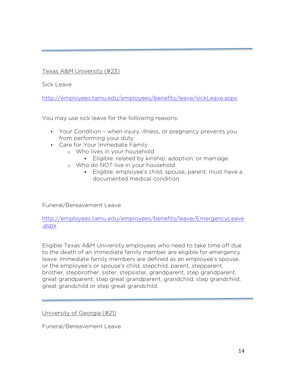Texas A&M University (#23)

Sick Leave

http://employees.tamu.edu/employees/benefits/leave/sickLeave.aspx

You may use sick leave for the following reasons:

- Your Condition when injury, illness, or pregnancy prevents you from performing your duty
- Care for Your Immediate Family
	- o Who lives in your household
		- **Eligible: related by kinship, adoption, or marriage**
	- o Who do NOT live in your household
		- § Eligible: employee's child, spouse, parent; must have a documented medical condition

Funeral/Bereavement Leave

http://employees.tamu.edu/employees/benefits/leave/EmergencyLeave .aspx

Eligible Texas A&M University employees who need to take time off due to the death of an immediate family member are eligible for emergency leave. Immediate family members are defined as an employee's spouse, or the employee's or spouse's child, stepchild, parent, stepparent, brother, stepbrother, sister, stepsister, grandparent, step grandparent, great grandparent, step great grandparent, grandchild, step grandchild, great grandchild or step great grandchild.

University of Georgia (#21)

Funeral/Bereavement Leave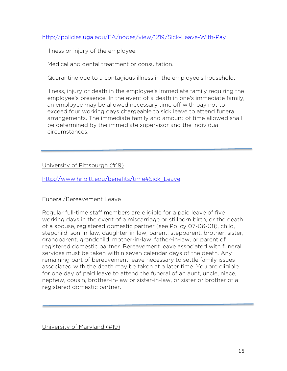http://policies.uga.edu/FA/nodes/view/1219/Sick-Leave-With-Pay

Illness or injury of the employee.

Medical and dental treatment or consultation.

Quarantine due to a contagious illness in the employee's household.

Illness, injury or death in the employee's immediate family requiring the employee's presence. In the event of a death in one's immediate family, an employee may be allowed necessary time off with pay not to exceed four working days chargeable to sick leave to attend funeral arrangements. The immediate family and amount of time allowed shall be determined by the immediate supervisor and the individual circumstances.

University of Pittsburgh (#19)

http://www.hr.pitt.edu/benefits/time#Sick\_Leave

Funeral/Bereavement Leave

Regular full-time staff members are eligible for a paid leave of five working days in the event of a miscarriage or stillborn birth, or the death of a spouse, registered domestic partner (see Policy 07-06-08), child, stepchild, son-in-law, daughter-in-law, parent, stepparent, brother, sister, grandparent, grandchild, mother-in-law, father-in-law, or parent of registered domestic partner. Bereavement leave associated with funeral services must be taken within seven calendar days of the death. Any remaining part of bereavement leave necessary to settle family issues associated with the death may be taken at a later time. You are eligible for one day of paid leave to attend the funeral of an aunt, uncle, niece, nephew, cousin, brother-in-law or sister-in-law, or sister or brother of a registered domestic partner.

University of Maryland (#19)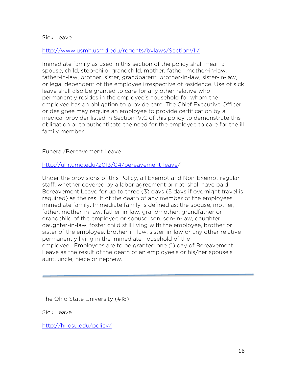#### Sick Leave

#### http://www.usmh.usmd.edu/regents/bylaws/SectionVII/

Immediate family as used in this section of the policy shall mean a spouse, child, step-child, grandchild, mother, father, mother-in-law, father-in-law, brother, sister, grandparent, brother-in-law, sister-in-law, or legal dependent of the employee irrespective of residence. Use of sick leave shall also be granted to care for any other relative who permanently resides in the employee's household for whom the employee has an obligation to provide care. The Chief Executive Officer or designee may require an employee to provide certification by a medical provider listed in Section IV.C of this policy to demonstrate this obligation or to authenticate the need for the employee to care for the ill family member.

#### Funeral/Bereavement Leave

#### http://uhr.umd.edu/2013/04/bereavement-leave/

Under the provisions of this Policy, all Exempt and Non-Exempt regular staff, whether covered by a labor agreement or not, shall have paid Bereavement Leave for up to three (3) days (5 days if overnight travel is required) as the result of the death of any member of the employees immediate family. Immediate family is defined as; the spouse, mother, father, mother-in-law, father-in-law, grandmother, grandfather or grandchild of the employee or spouse, son, son-in-law, daughter, daughter-in-law, foster child still living with the employee, brother or sister of the employee, brother-in-law, sister-in-law or any other relative permanently living in the immediate household of the employee. Employees are to be granted one (1) day of Bereavement Leave as the result of the death of an employee's or his/her spouse's aunt, uncle, niece or nephew.

The Ohio State University (#18)

Sick Leave

http://hr.osu.edu/policy/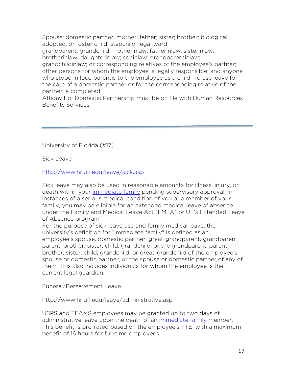Spouse; domestic partner; mother; father; sister; brother; biological, adopted, or foster child; stepchild; legal ward;

grandparent; grandchild; motherinlaw; fatherinlaw; sisterinlaw; brotherinlaw; daughterinlaw; soninlaw; grandparentinlaw;

grandchildinlaw; or corresponding relatives of the employee's partner; other persons for whom the employee is legally responsible; and anyone who stood in loco parentis to the employee as a child. To use leave for the care of a domestic partner or for the corresponding relative of the partner, a completed

Affidavit of Domestic Partnership must be on file with Human Resources Benefits Services.

## University of Florida (#17)

Sick Leave

## http://www.hr.ufl.edu/leave/sick.asp

Sick leave may also be used in reasonable amounts for illness, injury, or death within your immediate family pending supervisory approval. In instances of a serious medical condition of you or a member of your family, you may be eligible for an extended medical leave of absence under the Family and Medical Leave Act (FMLA) or UF's Extended Leave of Absence program.

For the purpose of sick leave use and family medical leave, the university's definition for "immediate family" is defined as an employee's spouse, domestic partner, great-grandparent, grandparent, parent, brother, sister, child, grandchild, or the grandparent, parent, brother, sister, child, grandchild, or great-grandchild of the employee's spouse or domestic partner, or the spouse or domestic partner of any of them. This also includes individuals for whom the employee is the current legal guardian.

Funeral/Bereavement Leave

http://www.hr.ufl.edu/leave/administrative.asp

USPS and TEAMS employees may be granted up to two days of administrative leave upon the death of an immediate family member. This benefit is pro-rated based on the employee's FTE, with a maximum benefit of 16 hours for full-time employees.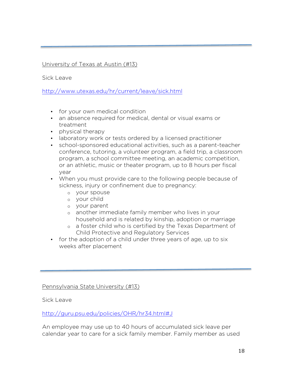## University of Texas at Austin (#13)

Sick Leave

http://www.utexas.edu/hr/current/leave/sick.html

- for your own medical condition
- an absence required for medical, dental or visual exams or treatment
- physical therapy
- laboratory work or tests ordered by a licensed practitioner
- school-sponsored educational activities, such as a parent-teacher conference, tutoring, a volunteer program, a field trip, a classroom program, a school committee meeting, an academic competition, or an athletic, music or theater program, up to 8 hours per fiscal year
- When you must provide care to the following people because of sickness, injury or confinement due to pregnancy:
	- o your spouse
	- o your child
	- o your parent
	- o another immediate family member who lives in your household and is related by kinship, adoption or marriage
	- o a foster child who is certified by the Texas Department of Child Protective and Regulatory Services
- for the adoption of a child under three years of age, up to six weeks after placement

Pennsylvania State University (#13)

Sick Leave

http://guru.psu.edu/policies/OHR/hr34.html#J

An employee may use up to 40 hours of accumulated sick leave per calendar year to care for a sick family member. Family member as used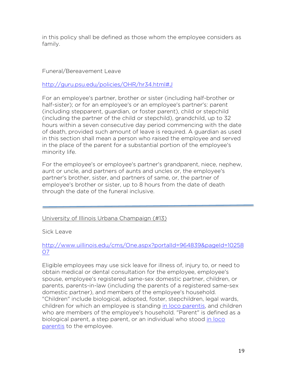in this policy shall be defined as those whom the employee considers as family.

#### Funeral/Bereavement Leave

http://guru.psu.edu/policies/OHR/hr34.html#J

For an employee's partner, brother or sister (including half-brother or half-sister); or for an employee's or an employee's partner's: parent (including stepparent, guardian, or foster parent), child or stepchild (including the partner of the child or stepchild), grandchild, up to 32 hours within a seven consecutive day period commencing with the date of death, provided such amount of leave is required. A guardian as used in this section shall mean a person who raised the employee and served in the place of the parent for a substantial portion of the employee's minority life.

For the employee's or employee's partner's grandparent, niece, nephew, aunt or uncle, and partners of aunts and uncles or, the employee's partner's brother, sister, and partners of same, or, the partner of employee's brother or sister, up to 8 hours from the date of death through the date of the funeral inclusive.

#### University of Illinois Urbana Champaign (#13)

Sick Leave

## http://www.uillinois.edu/cms/One.aspx?portalId=964839&pageId=10258 07

Eligible employees may use sick leave for illness of, injury to, or need to obtain medical or dental consultation for the employee, employee's spouse, employee's registered same-sex domestic partner, children, or parents, parents-in-law (including the parents of a registered same-sex domestic partner), and members of the employee's household. "Children" include biological, adopted, foster, stepchildren, legal wards, children for which an employee is standing in loco parentis, and children who are members of the employee's household. "Parent" is defined as a biological parent, a step parent, or an individual who stood in loco parentis to the employee.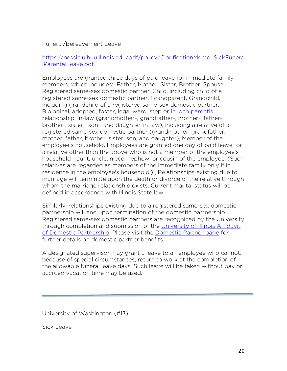#### Funeral/Bereavement Leave

## https://nessie.uihr.uillinois.edu/pdf/policy/ClarificationMemo\_SickFunera lParentalLeave.pdf

Employees are granted three days of paid leave for immediate family members, which includes: Father, Mother, Sister, Brother, Spouse, Registered same-sex domestic partner, Child, including child of a registered same-sex domestic partner, Grandparent, Grandchild, including grandchild of a registered same-sex domestic partner, Biological, adopted, foster, legal ward, step or in loco parentis relationship, In-law (grandmother-, grandfather-, mother-, father-, brother-, sister-, son-, and daughter-in-law), including a relative of a registered same-sex domestic partner (grandmother, grandfather, mother, father, brother, sister, son, and daughter), Member of the employee's household, Employees are granted one day of paid leave for a relative other than the above who is not a member of the employee's household - aunt, uncle, niece, nephew, or cousin of the employee. (Such relatives are regarded as members of the immediate family only if in residence in the employee's household.) , Relationships existing due to marriage will terminate upon the death or divorce of the relative through whom the marriage relationship exists. Current marital status will be defined in accordance with Illinois State law.

Similarly, relationships existing due to a registered same-sex domestic partnership will end upon termination of the domestic partnership. Registered same-sex domestic partners are recognized by the University through completion and submission of the University of Illinois Affidavit of Domestic Partnership. Please visit the Domestic Partner page for further details on domestic partner benefits.

A designated supervisor may grant a leave to an employee who cannot, because of special circumstances, return to work at the completion of the allowable funeral leave days. Such leave will be taken without pay or accrued vacation time may be used.

University of Washington (#13)

Sick Leave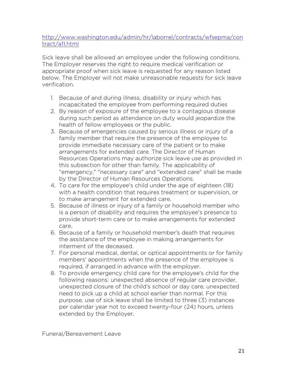## http://www.washington.edu/admin/hr/laborrel/contracts/wfsepma/con tract/a11.html

Sick leave shall be allowed an employee under the following conditions. The Employer reserves the right to require medical verification or appropriate proof when sick leave is requested for any reason listed below. The Employer will not make unreasonable requests for sick leave verification.

- 1. Because of and during illness, disability or injury which has incapacitated the employee from performing required duties
- 2. By reason of exposure of the employee to a contagious disease during such period as attendance on duty would jeopardize the health of fellow employees or the public.
- 3. Because of emergencies caused by serious illness or injury of a family member that require the presence of the employee to provide immediate necessary care of the patient or to make arrangements for extended care. The Director of Human Resources Operations may authorize sick leave use as provided in this subsection for other than family. The applicability of "emergency," "necessary care" and "extended care" shall be made by the Director of Human Resources Operations.
- 4. To care for the employee's child under the age of eighteen (18) with a health condition that requires treatment or supervision, or to make arrangement for extended care.
- 5. Because of illness or injury of a family or household member who is a person of disability and requires the employee's presence to provide short-term care or to make arrangements for extended care.
- 6. Because of a family or household member's death that requires the assistance of the employee in making arrangements for interment of the deceased.
- 7. For personal medical, dental, or optical appointments or for family members' appointments when the presence of the employee is required, if arranged in advance with the employer.
- 8. To provide emergency child care for the employee's child for the following reasons: unexpected absence of regular care provider, unexpected closure of the child's school or day care, unexpected need to pick up a child at school earlier than normal. For this purpose, use of sick leave shall be limited to three (3) instances per calendar year not to exceed twenty-four (24) hours, unless extended by the Employer.

Funeral/Bereavement Leave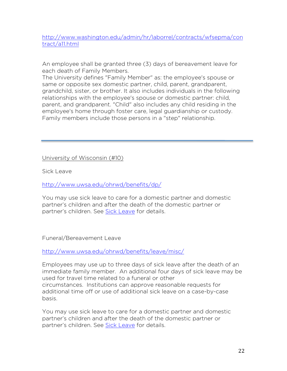http://www.washington.edu/admin/hr/laborrel/contracts/wfsepma/con tract/a11.html

An employee shall be granted three (3) days of bereavement leave for each death of Family Members.

The University defines "Family Member" as: the employee's spouse or same or opposite sex domestic partner, child, parent, grandparent, grandchild, sister, or brother. It also includes individuals in the following relationships with the employee's spouse or domestic partner: child, parent, and grandparent. "Child" also includes any child residing in the employee's home through foster care, legal guardianship or custody. Family members include those persons in a "step" relationship.

University of Wisconsin (#10)

Sick Leave

http://www.uwsa.edu/ohrwd/benefits/dp/

You may use sick leave to care for a domestic partner and domestic partner's children and after the death of the domestic partner or partner's children. See Sick Leave for details.

Funeral/Bereavement Leave

http://www.uwsa.edu/ohrwd/benefits/leave/misc/

Employees may use up to three days of sick leave after the death of an immediate family member. An additional four days of sick leave may be used for travel time related to a funeral or other circumstances. Institutions can approve reasonable requests for additional time off or use of additional sick leave on a case-by-case basis.

You may use sick leave to care for a domestic partner and domestic partner's children and after the death of the domestic partner or partner's children. See Sick Leave for details.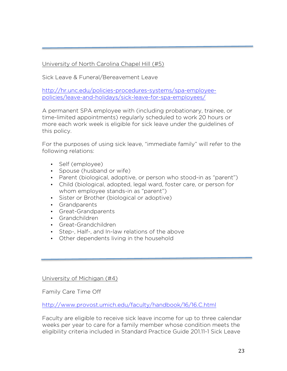University of North Carolina Chapel Hill (#5)

Sick Leave & Funeral/Bereavement Leave

http://hr.unc.edu/policies-procedures-systems/spa-employeepolicies/leave-and-holidays/sick-leave-for-spa-employees/

A permanent SPA employee with (including probationary, trainee, or time-limited appointments) regularly scheduled to work 20 hours or more each work week is eligible for sick leave under the guidelines of this policy.

For the purposes of using sick leave, "immediate family" will refer to the following relations:

- Self (employee)
- Spouse (husband or wife)
- Parent (biological, adoptive, or person who stood-in as "parent")
- Child (biological, adopted, legal ward, foster care, or person for whom employee stands-in as "parent")
- Sister or Brother (biological or adoptive)
- Grandparents
- Great-Grandparents
- Grandchildren
- Great-Grandchildren
- Step-, Half-, and In-law relations of the above
- Other dependents living in the household

University of Michigan (#4)

Family Care Time Off

http://www.provost.umich.edu/faculty/handbook/16/16.C.html

Faculty are eligible to receive sick leave income for up to three calendar weeks per year to care for a family member whose condition meets the eligibility criteria included in Standard Practice Guide 201.11-1 Sick Leave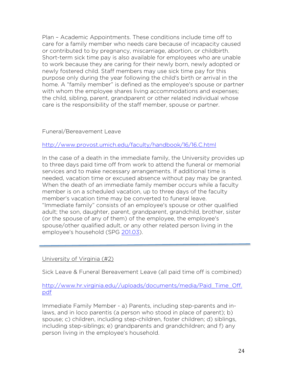Plan – Academic Appointments. These conditions include time off to care for a family member who needs care because of incapacity caused or contributed to by pregnancy, miscarriage, abortion, or childbirth. Short-term sick time pay is also available for employees who are unable to work because they are caring for their newly born, newly adopted or newly fostered child. Staff members may use sick time pay for this purpose only during the year following the child's birth or arrival in the home. A "family member" is defined as the employee's spouse or partner with whom the employee shares living accommodations and expenses; the child, sibling, parent, grandparent or other related individual whose care is the responsibility of the staff member, spouse or partner.

#### Funeral/Bereavement Leave

http://www.provost.umich.edu/faculty/handbook/16/16.C.html

In the case of a death in the immediate family, the University provides up to three days paid time off from work to attend the funeral or memorial services and to make necessary arrangements. If additional time is needed, vacation time or excused absence without pay may be granted. When the death of an immediate family member occurs while a faculty member is on a scheduled vacation, up to three days of the faculty member's vacation time may be converted to funeral leave. "Immediate family" consists of an employee's spouse or other qualified adult; the son, daughter, parent, grandparent, grandchild, brother, sister (or the spouse of any of them) of the employee, the employee's spouse/other qualified adult, or any other related person living in the employee's household (SPG 201.03).

#### University of Virginia (#2)

Sick Leave & Funeral Bereavement Leave (all paid time off is combined)

#### http://www.hr.virginia.edu//uploads/documents/media/Paid\_Time\_Off. pdf

Immediate Family Member - a) Parents, including step-parents and inlaws, and in loco parentis (a person who stood in place of parent); b) spouse; c) children, including step-children, foster children; d) siblings, including step-siblings; e) grandparents and grandchildren; and f) any person living in the employee's household.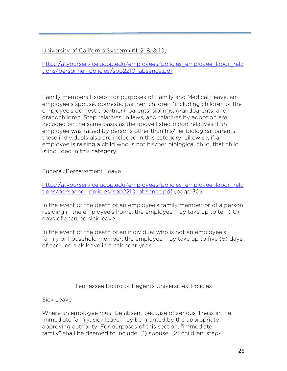## University of California System (#1, 2, 8, & 10)

http://atyourservice.ucop.edu/employees/policies\_employee\_labor\_rela tions/personnel\_policies/spp2210\_absence.pdf

Family members Except for purposes of Family and Medical Leave, an employee's spouse, domestic partner, children (including children of the employee's domestic partner), parents, siblings, grandparents, and grandchildren. Step relatives, in laws, and relatives by adoption are included on the same basis as the above listed blood relatives If an employee was raised by persons other than his/her biological parents, these individuals also are included in this category. Likewise, if an employee is raising a child who is not his/her biological child, that child is included in this category.

Funeral/Bereavement Leave

http://atyourservice.ucop.edu/employees/policies\_employee\_labor\_rela tions/personnel\_policies/spp2210\_absence.pdf (page 30)

In the event of the death of an employee's family member or of a person residing in the employee's home, the employee may take up to ten (10) days of accrued sick leave.

In the event of the death of an individual who is not an employee's family or household member, the employee may take up to five (5) days of accrued sick leave in a calendar year.

Tennessee Board of Regents Universities' Policies

Sick Leave

Where an employee must be absent because of serious illness in the immediate family, sick leave may be granted by the appropriate approving authority. For purposes of this section, "immediate family" shall be deemed to include: (1) spouse; (2) children, step-